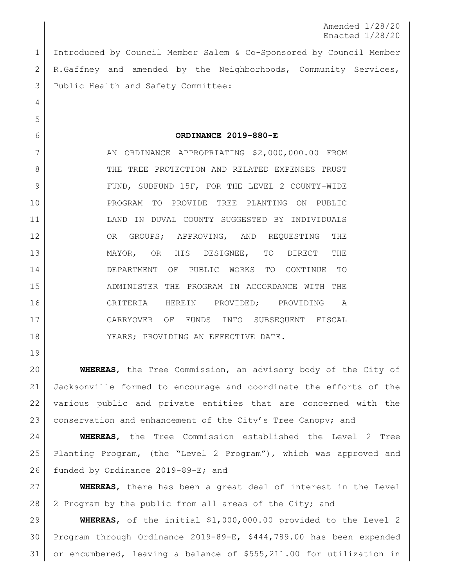Amended 1/28/20 Enacted 1/28/20

 Introduced by Council Member Salem & Co-Sponsored by Council Member R.Gaffney and amended by the Neighborhoods, Community Services, Public Health and Safety Committee:

 **ORDINANCE 2019-880-E** 7 AN ORDINANCE APPROPRIATING \$2,000,000.00 FROM 8 THE TREE PROTECTION AND RELATED EXPENSES TRUST FUND, SUBFUND 15F, FOR THE LEVEL 2 COUNTY-WIDE PROGRAM TO PROVIDE TREE PLANTING ON PUBLIC LAND IN DUVAL COUNTY SUGGESTED BY INDIVIDUALS 12 OR GROUPS; APPROVING, AND REQUESTING THE MAYOR, OR HIS DESIGNEE, TO DIRECT THE DEPARTMENT OF PUBLIC WORKS TO CONTINUE TO ADMINISTER THE PROGRAM IN ACCORDANCE WITH THE CRITERIA HEREIN PROVIDED; PROVIDING A CARRYOVER OF FUNDS INTO SUBSEQUENT FISCAL 18 YEARS; PROVIDING AN EFFECTIVE DATE.

 **WHEREAS**, the Tree Commission, an advisory body of the City of Jacksonville formed to encourage and coordinate the efforts of the various public and private entities that are concerned with the 23 conservation and enhancement of the City's Tree Canopy; and

 **WHEREAS**, the Tree Commission established the Level 2 Tree Planting Program, (the "Level 2 Program"), which was approved and funded by Ordinance 2019-89-E; and

 **WHEREAS**, there has been a great deal of interest in the Level 28 2 Program by the public from all areas of the City; and

 **WHEREAS**, of the initial \$1,000,000.00 provided to the Level 2 Program through Ordinance 2019-89-E, \$444,789.00 has been expended or encumbered, leaving a balance of \$555,211.00 for utilization in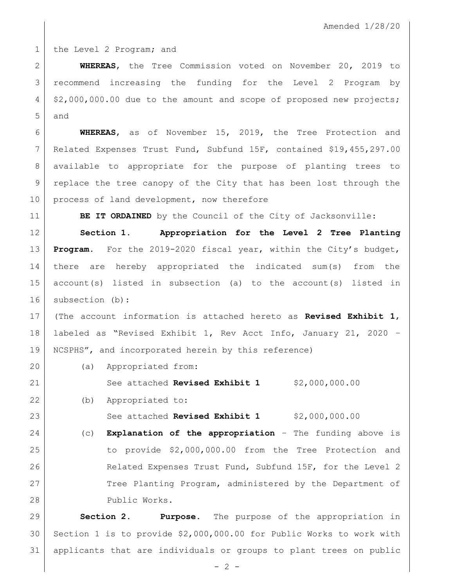## 1 the Level 2 Program; and

 **WHEREAS**, the Tree Commission voted on November 20, 2019 to recommend increasing the funding for the Level 2 Program by 4 | \$2,000,000.00 due to the amount and scope of proposed new projects; and

 **WHEREAS**, as of November 15, 2019, the Tree Protection and Related Expenses Trust Fund, Subfund 15F, contained \$19,455,297.00 available to appropriate for the purpose of planting trees to replace the tree canopy of the City that has been lost through the 10 process of land development, now therefore

**BE IT ORDAINED** by the Council of the City of Jacksonville:

 **Section 1. Appropriation for the Level 2 Tree Planting Program.** For the 2019-2020 fiscal year, within the City's budget, there are hereby appropriated the indicated sum(s) from the account(s) listed in subsection (a) to the account(s) listed in subsection (b):

 (The account information is attached hereto as **Revised Exhibit 1**, labeled as "Revised Exhibit 1, Rev Acct Info, January 21, 2020 – NCSPHS", and incorporated herein by this reference)

(a) Appropriated from:

See attached **Revised Exhibit 1** \$2,000,000.00

(b) Appropriated to:

23 | See attached **Revised Exhibit 1** \$2,000,000.00

 (c) **Explanation of the appropriation** – The funding above is 25 to provide \$2,000,000.00 from the Tree Protection and 26 Related Expenses Trust Fund, Subfund 15F, for the Level 2 27 Tree Planting Program, administered by the Department of 28 Public Works.

 **Section 2. Purpose.** The purpose of the appropriation in Section 1 is to provide \$2,000,000.00 for Public Works to work with applicants that are individuals or groups to plant trees on public

 $- 2 -$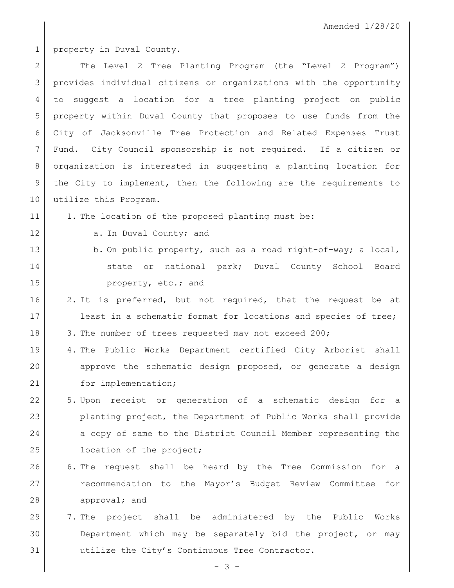Amended 1/28/20

 property in Duval County. 2 | The Level 2 Tree Planting Program (the "Level 2 Program") provides individual citizens or organizations with the opportunity to suggest a location for a tree planting project on public property within Duval County that proposes to use funds from the City of Jacksonville Tree Protection and Related Expenses Trust Fund. City Council sponsorship is not required. If a citizen or organization is interested in suggesting a planting location for the City to implement, then the following are the requirements to 10 | utilize this Program. 11 | 1. The location of the proposed planting must be: 12 a. In Duval County; and 13 b. On public property, such as a road right-of-way; a local, 14 state or national park; Duval County School Board **property**, etc.; and 2. It is preferred, but not required, that the request be at 17 least in a schematic format for locations and species of tree; 18 3. The number of trees requested may not exceed 200; 4. The Public Works Department certified City Arborist shall approve the schematic design proposed, or generate a design 21 for implementation; 5. Upon receipt or generation of a schematic design for a planting project, the Department of Public Works shall provide 24 a copy of same to the District Council Member representing the **location of the project;**  6. The request shall be heard by the Tree Commission for a 27 recommendation to the Mayor's Budget Review Committee for approval; and 7. The project shall be administered by the Public Works Department which may be separately bid the project, or may utilize the City's Continuous Tree Contractor.

- 3 -